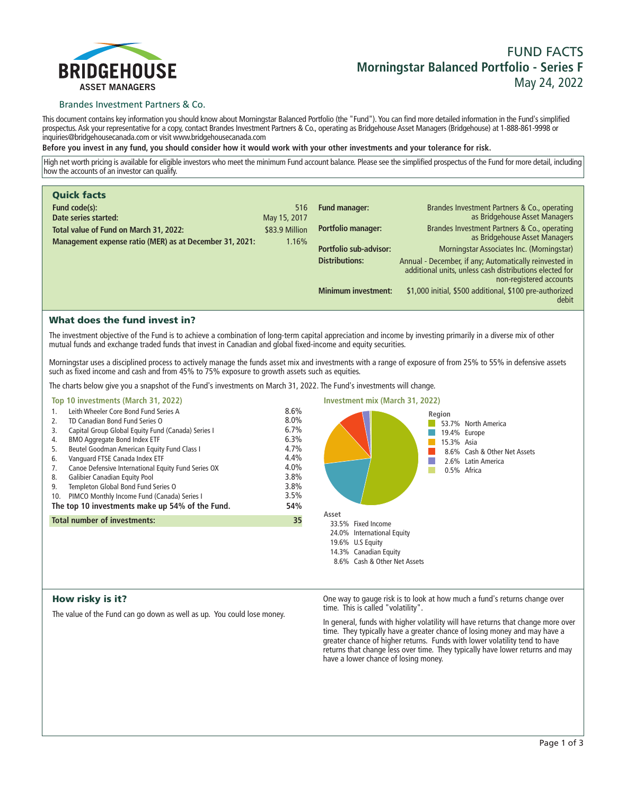

# **FUND FACTS Morningstar Balanced Portfolio - Series F May 24, 2022**

## Brandes Investment Partners & Co.

**This document contains key information you should know about Morningstar Balanced Portfolio (the "Fund"). You can find more detailed information in the Fund's simplified prospectus. Ask your representative for a copy, contact Brandes Investment Partners & Co., operating as Bridgehouse Asset Managers (Bridgehouse) at 1-888-861-9998 or inquiries@bridgehousecanada.com or visit www.bridgehousecanada.com**

**Before you invest in any fund, you should consider how it would work with your other investments and your tolerance for risk.**

**High net worth pricing is available for eligible investors who meet the minimum Fund account balance. Please see the simplified prospectus of the Fund for more detail, including how the accounts of an investor can qualify.**

| <b>Quick facts</b>                                                                                |                         |                            |                                                                                                                                              |
|---------------------------------------------------------------------------------------------------|-------------------------|----------------------------|----------------------------------------------------------------------------------------------------------------------------------------------|
| Fund code(s):<br>Date series started:                                                             | 516<br>May 15, 2017     | <b>Fund manager:</b>       | Brandes Investment Partners & Co., operating<br>as Bridgehouse Asset Managers                                                                |
| Total value of Fund on March 31, 2022:<br>Management expense ratio (MER) as at December 31, 2021: | \$83.9 Million<br>1.16% | <b>Portfolio manager:</b>  | Brandes Investment Partners & Co., operating<br>as Bridgehouse Asset Managers                                                                |
|                                                                                                   |                         | Portfolio sub-advisor:     | Morningstar Associates Inc. (Morningstar)                                                                                                    |
|                                                                                                   |                         | <b>Distributions:</b>      | Annual - December, if any; Automatically reinvested in<br>additional units, unless cash distributions elected for<br>non-registered accounts |
|                                                                                                   |                         | <b>Minimum investment:</b> | \$1,000 initial, \$500 additional, \$100 pre-authorized<br>debit                                                                             |

# What does the fund invest in?

**The investment objective of the Fund is to achieve a combination of long-term capital appreciation and income by investing primarily in a diverse mix of other mutual funds and exchange traded funds that invest in Canadian and global fixed-income and equity securities.** 

**Morningstar uses a disciplined process to actively manage the funds asset mix and investments with a range of exposure of from 25% to 55% in defensive assets such as fixed income and cash and from 45% to 75% exposure to growth assets such as equities.**

**The charts below give you a snapshot of the Fund's investments on March 31, 2022. The Fund's investments will change.**

## **Top 10 investments (March 31, 2022)**

| 1.  | Leith Wheeler Core Bond Fund Series A               | 8.6% |
|-----|-----------------------------------------------------|------|
| 2.  | TD Canadian Bond Fund Series O                      | 8.0% |
| 3.  | Capital Group Global Equity Fund (Canada) Series I  | 6.7% |
| 4.  | <b>BMO Aggregate Bond Index ETF</b>                 | 6.3% |
| -5. | Beutel Goodman American Equity Fund Class I         | 4.7% |
| 6.  | Vanguard FTSE Canada Index ETF                      | 4.4% |
| 7.  | Canoe Defensive International Equity Fund Series OX | 4.0% |
| 8.  | <b>Galibier Canadian Equity Pool</b>                | 3.8% |
| 9.  | Templeton Global Bond Fund Series O                 | 3.8% |
| 10. | PIMCO Monthly Income Fund (Canada) Series I         | 3.5% |
|     | The top 10 investments make up 54% of the Fund.     | 54%  |
|     | <b>Total number of investments:</b>                 | 35   |
|     |                                                     |      |



## How risky is it?

**The value of the Fund can go down as well as up. You could lose money.**

**One way to gauge risk is to look at how much a fund's returns change over time. This is called "volatility".**

**In general, funds with higher volatility will have returns that change more over time. They typically have a greater chance of losing money and may have a greater chance of higher returns. Funds with lower volatility tend to have returns that change less over time. They typically have lower returns and may have a lower chance of losing money.**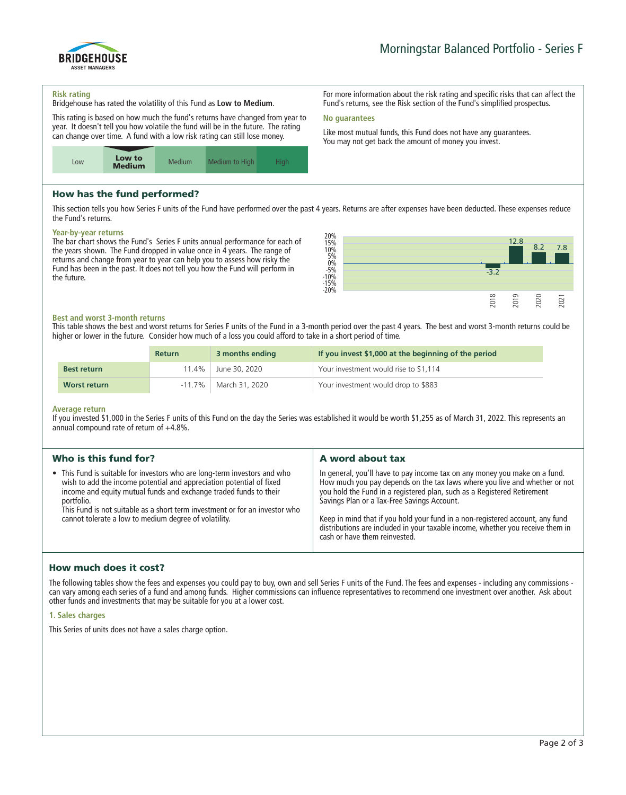

#### **Risk rating**

**Bridgehouse has rated the volatility of this Fund as Low to Medium.**

**This rating is based on how much the fund's returns have changed from year to year. It doesn't tell you how volatile the fund will be in the future. The rating can change over time. A fund with a low risk rating can still lose money.**



# How has the fund performed?

**This section tells you how Series F units of the Fund have performed over the past 4 years. Returns are after expenses have been deducted. These expenses reduce the Fund's returns.**

**No guarantees**

## **Year-by-year returns**

**The bar chart shows the Fund's Series F units annual performance for each of the years shown. The Fund dropped in value once in 4 years. The range of returns and change from year to year can help you to assess how risky the Fund has been in the past. It does not tell you how the Fund will perform in the future.**



**For more information about the risk rating and specific risks that can affect the Fund's returns, see the Risk section of the Fund's simplified prospectus.**

**Like most mutual funds, this Fund does not have any guarantees. You may not get back the amount of money you invest.**

## **Best and worst 3-month returns**

**This table shows the best and worst returns for Series F units of the Fund in a 3-month period over the past 4 years. The best and worst 3-month returns could be higher or lower in the future. Consider how much of a loss you could afford to take in a short period of time.**

|                     | <b>Return</b> | 3 months ending | If you invest \$1,000 at the beginning of the period |
|---------------------|---------------|-----------------|------------------------------------------------------|
| <b>Best return</b>  | l 1.4%        | June 30, 2020   | Your investment would rise to \$1,114                |
| <b>Worst return</b> | $-11.7\%$     | March 31, 2020  | Your investment would drop to \$883                  |

#### **Average return**

**If you invested \$1,000 in the Series F units of this Fund on the day the Series was established it would be worth \$1,255 as of March 31, 2022. This represents an annual compound rate of return of +4.8%.**

| Who is this fund for?                                                                                                                                                                                                                                                                                                                                                        | A word about tax                                                                                                                                                                                                                                                                                                                                                    |  |
|------------------------------------------------------------------------------------------------------------------------------------------------------------------------------------------------------------------------------------------------------------------------------------------------------------------------------------------------------------------------------|---------------------------------------------------------------------------------------------------------------------------------------------------------------------------------------------------------------------------------------------------------------------------------------------------------------------------------------------------------------------|--|
| • This Fund is suitable for investors who are long-term investors and who<br>wish to add the income potential and appreciation potential of fixed<br>income and equity mutual funds and exchange traded funds to their<br>portfolio.<br>This Fund is not suitable as a short term investment or for an investor who<br>cannot tolerate a low to medium degree of volatility. | In general, you'll have to pay income tax on any money you make on a fund.<br>How much you pay depends on the tax laws where you live and whether or not<br>you hold the Fund in a registered plan, such as a Registered Retirement<br>Savings Plan or a Tax-Free Savings Account.<br>Keep in mind that if you hold your fund in a non-registered account, any fund |  |
|                                                                                                                                                                                                                                                                                                                                                                              | distributions are included in your taxable income, whether you receive them in<br>cash or have them reinvested.                                                                                                                                                                                                                                                     |  |

# How much does it cost?

**The following tables show the fees and expenses you could pay to buy, own and sell Series F units of the Fund. The fees and expenses - including any commissions can vary among each series of a fund and among funds. Higher commissions can influence representatives to recommend one investment over another. Ask about other funds and investments that may be suitable for you at a lower cost.**

## **1. Sales charges**

**This Series of units does not have a sales charge option.**